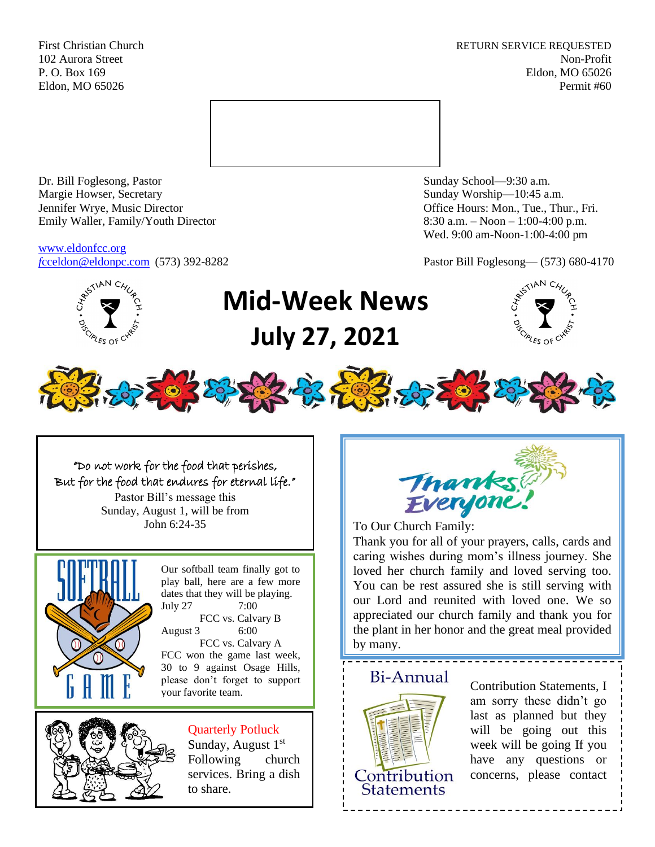First Christian Church **RETURN SERVICE REQUESTED** 102 Aurora Street Non-Profit P. O. Box 169 Eldon, MO 65026 Eldon, MO 65026 Permit #60



Dr. Bill Foglesong, Pastor Sunday School—9:30 a.m. Margie Howser, Secretary Sunday Worship—10:45 a.m. Jennifer Wrye, Music Director Office Hours: Mon., Tue., Thur., Fri. Emily Waller, Family/Youth Director 8:30 a.m. – Noon – 1:00-4:00 p.m.

[www.eldonfcc.org](http://www.eldonfcc.org/)

Wed. 9:00 am-Noon-1:00-4:00 pm

*f*[cceldon@eldonpc.com](mailto:fcceldon@eldonpc.com) (573) 392-8282 Pastor Bill Foglesong— (573) 680-4170



# **Mid-Week News July 27, 2021**





## "Do not work for the food that perishes, But for the food that endures for eternal life."

Pastor Bill's message this Sunday, August 1, will be from



Our softball team finally got to play ball, here are a few more dates that they will be playing. July 27 7:00 FCC vs. Calvary B August 3 6:00 FCC vs. Calvary A FCC won the game last week,

30 to 9 against Osage Hills, please don't forget to support both *S* against Ssage This,<br>please don't forget to support **EXECUTE: EXECUTE: Contribution Statements**, I



# Quarterly Potluck

Sunday, August  $1<sup>st</sup>$ Following church services. Bring a dish to share.



John 6:24-35 **To Our Church Family:** 

Thank you for all of your prayers, calls, cards and caring wishes during mom's illness journey. She loved her church family and loved serving too. You can be rest assured she is still serving with our Lord and reunited with loved one. We so appreciated our church family and thank you for the plant in her honor and the great meal provided by many.



<del>- - - - - - - - - - -</del> -



am sorry these didn't go last as planned but they will be going out this week will be going If you have any questions or concerns, please contact